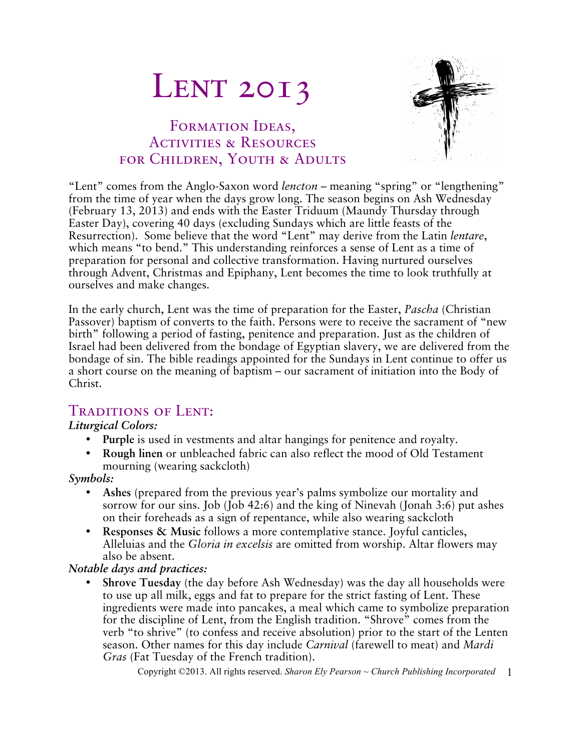# **LENT 2013**

## FORMATION IDEAS, Activities & Resources for Children, Youth & Adults



"Lent" comes from the Anglo-Saxon word *lencton* – meaning "spring" or "lengthening" from the time of year when the days grow long. The season begins on Ash Wednesday (February 13, 2013) and ends with the Easter Triduum (Maundy Thursday through Easter Day), covering 40 days (excluding Sundays which are little feasts of the Resurrection). Some believe that the word "Lent" may derive from the Latin *lentare*, which means "to bend." This understanding reinforces a sense of Lent as a time of preparation for personal and collective transformation. Having nurtured ourselves through Advent, Christmas and Epiphany, Lent becomes the time to look truthfully at ourselves and make changes.

In the early church, Lent was the time of preparation for the Easter, *Pascha* (Christian Passover) baptism of converts to the faith. Persons were to receive the sacrament of "new birth" following a period of fasting, penitence and preparation. Just as the children of Israel had been delivered from the bondage of Egyptian slavery, we are delivered from the bondage of sin. The bible readings appointed for the Sundays in Lent continue to offer us a short course on the meaning of baptism – our sacrament of initiation into the Body of Christ.

## Traditions of Lent:

#### *Liturgical Colors:*

- **Purple** is used in vestments and altar hangings for penitence and royalty.
- **Rough linen** or unbleached fabric can also reflect the mood of Old Testament mourning (wearing sackcloth)

#### *Symbols:*

- **Ashes** (prepared from the previous year's palms symbolize our mortality and sorrow for our sins. Job (Job 42:6) and the king of Ninevah (Jonah 3:6) put ashes on their foreheads as a sign of repentance, while also wearing sackcloth
- **Responses & Music** follows a more contemplative stance. Joyful canticles, Alleluias and the *Gloria in excelsis* are omitted from worship. Altar flowers may also be absent.

#### *Notable days and practices:*

• **Shrove Tuesday** (the day before Ash Wednesday) was the day all households were to use up all milk, eggs and fat to prepare for the strict fasting of Lent. These ingredients were made into pancakes, a meal which came to symbolize preparation for the discipline of Lent, from the English tradition. "Shrove" comes from the verb "to shrive" (to confess and receive absolution) prior to the start of the Lenten season. Other names for this day include *Carnival* (farewell to meat) and *Mardi Gras* (Fat Tuesday of the French tradition).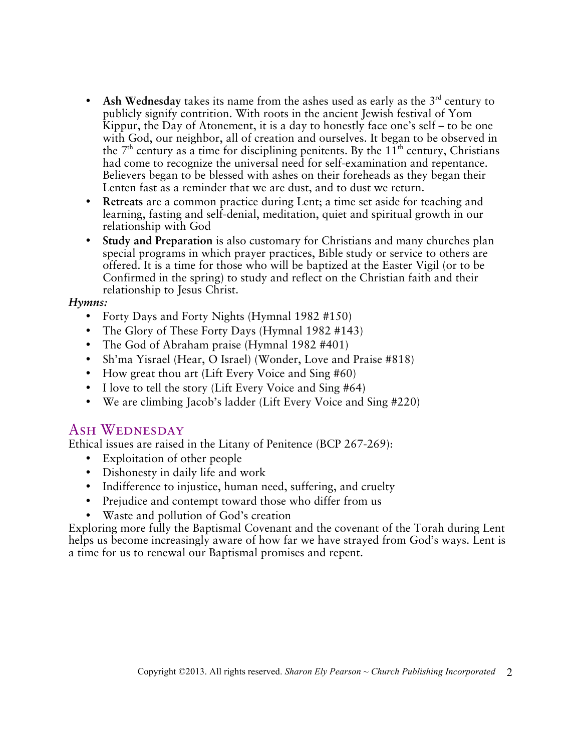- Ash Wednesday takes its name from the ashes used as early as the  $3<sup>rd</sup>$  century to publicly signify contrition. With roots in the ancient Jewish festival of Yom Kippur, the Day of Atonement, it is a day to honestly face one's self – to be one with God, our neighbor, all of creation and ourselves. It began to be observed in the  $7<sup>th</sup>$  century as a time for disciplining penitents. By the  $11<sup>th</sup>$  century, Christians had come to recognize the universal need for self-examination and repentance. Believers began to be blessed with ashes on their foreheads as they began their Lenten fast as a reminder that we are dust, and to dust we return.
- **Retreats** are a common practice during Lent; a time set aside for teaching and learning, fasting and self-denial, meditation, quiet and spiritual growth in our relationship with God
- **Study and Preparation** is also customary for Christians and many churches plan special programs in which prayer practices, Bible study or service to others are offered. It is a time for those who will be baptized at the Easter Vigil (or to be Confirmed in the spring) to study and reflect on the Christian faith and their relationship to Jesus Christ.

#### *Hymns:*

- Forty Days and Forty Nights (Hymnal 1982 #150)
- The Glory of These Forty Days (Hymnal 1982 #143)
- The God of Abraham praise (Hymnal 1982 #401)
- Sh'ma Yisrael (Hear, O Israel) (Wonder, Love and Praise #818)
- How great thou art (Lift Every Voice and Sing #60)
- I love to tell the story (Lift Every Voice and Sing #64)
- We are climbing Jacob's ladder (Lift Every Voice and Sing #220)

## ASH WEDNESDAY

Ethical issues are raised in the Litany of Penitence (BCP 267-269):

- Exploitation of other people
- Dishonesty in daily life and work
- Indifference to injustice, human need, suffering, and cruelty
- Prejudice and contempt toward those who differ from us
- Waste and pollution of God's creation

Exploring more fully the Baptismal Covenant and the covenant of the Torah during Lent helps us become increasingly aware of how far we have strayed from God's ways. Lent is a time for us to renewal our Baptismal promises and repent.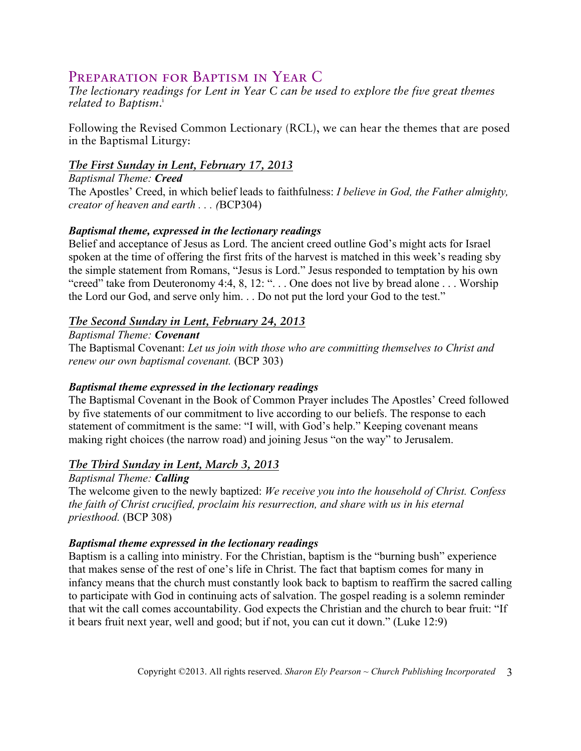## Preparation for Baptism in Year C

*The lectionary readings for Lent in Year C can be used to explore the five great themes related to Baptism*. i

Following the Revised Common Lectionary (RCL), we can hear the themes that are posed in the Baptismal Liturgy:

#### *The First Sunday in Lent, February 17, 2013*

*Baptismal Theme: Creed* The Apostles' Creed, in which belief leads to faithfulness: *I believe in God, the Father almighty, creator of heaven and earth . . . (*BCP304)

#### *Baptismal theme, expressed in the lectionary readings*

Belief and acceptance of Jesus as Lord. The ancient creed outline God's might acts for Israel spoken at the time of offering the first frits of the harvest is matched in this week's reading sby the simple statement from Romans, "Jesus is Lord." Jesus responded to temptation by his own "creed" take from Deuteronomy 4:4, 8, 12: ". . . One does not live by bread alone . . . Worship the Lord our God, and serve only him. . . Do not put the lord your God to the test."

#### *The Second Sunday in Lent, February 24, 2013*

#### *Baptismal Theme: Covenant*

The Baptismal Covenant: *Let us join with those who are committing themselves to Christ and renew our own baptismal covenant.* (BCP 303)

#### *Baptismal theme expressed in the lectionary readings*

The Baptismal Covenant in the Book of Common Prayer includes The Apostles' Creed followed by five statements of our commitment to live according to our beliefs. The response to each statement of commitment is the same: "I will, with God's help." Keeping covenant means making right choices (the narrow road) and joining Jesus "on the way" to Jerusalem.

#### *The Third Sunday in Lent, March 3, 2013*

#### *Baptismal Theme: Calling*

The welcome given to the newly baptized: *We receive you into the household of Christ. Confess the faith of Christ crucified, proclaim his resurrection, and share with us in his eternal priesthood.* (BCP 308)

#### *Baptismal theme expressed in the lectionary readings*

Baptism is a calling into ministry. For the Christian, baptism is the "burning bush" experience that makes sense of the rest of one's life in Christ. The fact that baptism comes for many in infancy means that the church must constantly look back to baptism to reaffirm the sacred calling to participate with God in continuing acts of salvation. The gospel reading is a solemn reminder that wit the call comes accountability. God expects the Christian and the church to bear fruit: "If it bears fruit next year, well and good; but if not, you can cut it down." (Luke 12:9)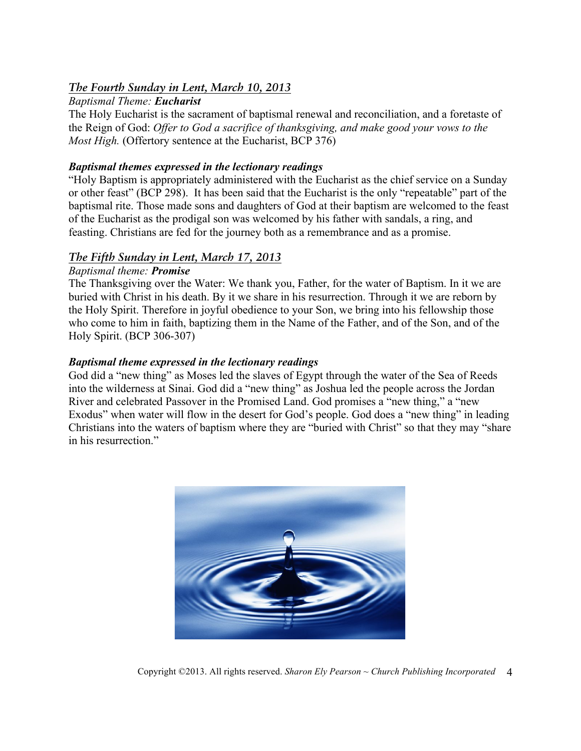#### *The Fourth Sunday in Lent, March 10, 2013*

#### *Baptismal Theme: Eucharist*

The Holy Eucharist is the sacrament of baptismal renewal and reconciliation, and a foretaste of the Reign of God: *Offer to God a sacrifice of thanksgiving, and make good your vows to the Most High.* (Offertory sentence at the Eucharist, BCP 376)

#### *Baptismal themes expressed in the lectionary readings*

"Holy Baptism is appropriately administered with the Eucharist as the chief service on a Sunday or other feast" (BCP 298). It has been said that the Eucharist is the only "repeatable" part of the baptismal rite. Those made sons and daughters of God at their baptism are welcomed to the feast of the Eucharist as the prodigal son was welcomed by his father with sandals, a ring, and feasting. Christians are fed for the journey both as a remembrance and as a promise.

#### *The Fifth Sunday in Lent, March 17, 2013*

#### *Baptismal theme: Promise*

The Thanksgiving over the Water: We thank you, Father, for the water of Baptism. In it we are buried with Christ in his death. By it we share in his resurrection. Through it we are reborn by the Holy Spirit. Therefore in joyful obedience to your Son, we bring into his fellowship those who come to him in faith, baptizing them in the Name of the Father, and of the Son, and of the Holy Spirit. (BCP 306-307)

#### *Baptismal theme expressed in the lectionary readings*

God did a "new thing" as Moses led the slaves of Egypt through the water of the Sea of Reeds into the wilderness at Sinai. God did a "new thing" as Joshua led the people across the Jordan River and celebrated Passover in the Promised Land. God promises a "new thing," a "new Exodus" when water will flow in the desert for God's people. God does a "new thing" in leading Christians into the waters of baptism where they are "buried with Christ" so that they may "share in his resurrection."



Copyright ©2013. All rights reserved. *Sharon Ely Pearson ~ Church Publishing Incorporated* 4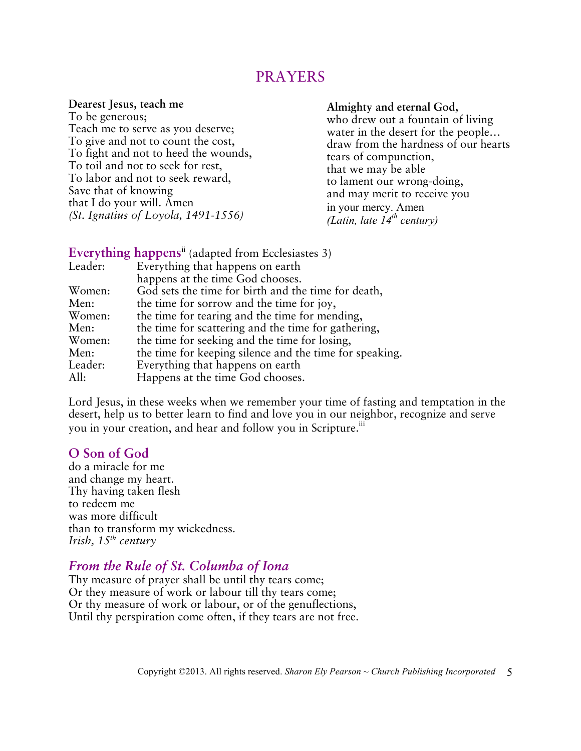## PRAYERS

**Dearest Jesus, teach me** To be generous;

Teach me to serve as you deserve; To give and not to count the cost, To fight and not to heed the wounds, To toil and not to seek for rest, To labor and not to seek reward, Save that of knowing that I do your will. Amen *(St. Ignatius of Loyola, 1491-1556)*

#### **Almighty and eternal God,**

who drew out a fountain of living water in the desert for the people… draw from the hardness of our hearts tears of compunction, that we may be able to lament our wrong-doing, and may merit to receive you in your mercy. Amen *(Latin, late 14th century)*

|         | Everything happens <sup>ii</sup> (adapted from Ecclesiastes 3) |
|---------|----------------------------------------------------------------|
| Leader: | Everything that happens on earth                               |
|         | happens at the time God chooses.                               |
| Women:  | God sets the time for birth and the time for death,            |
| Men:    | the time for sorrow and the time for joy,                      |
| Women:  | the time for tearing and the time for mending,                 |
| Men:    | the time for scattering and the time for gathering,            |
| Women:  | the time for seeking and the time for losing,                  |
| Men:    | the time for keeping silence and the time for speaking.        |
| Leader: | Everything that happens on earth                               |
| All:    | Happens at the time God chooses.                               |

Lord Jesus, in these weeks when we remember your time of fasting and temptation in the desert, help us to better learn to find and love you in our neighbor, recognize and serve you in your creation, and hear and follow you in Scripture.<sup>iii</sup>

#### **O Son of God**

do a miracle for me and change my heart. Thy having taken flesh to redeem me was more difficult than to transform my wickedness. *Irish, 15th century*

## *From the Rule of St. Columba of Iona*

Thy measure of prayer shall be until thy tears come; Or they measure of work or labour till thy tears come; Or thy measure of work or labour, or of the genuflections, Until thy perspiration come often, if they tears are not free.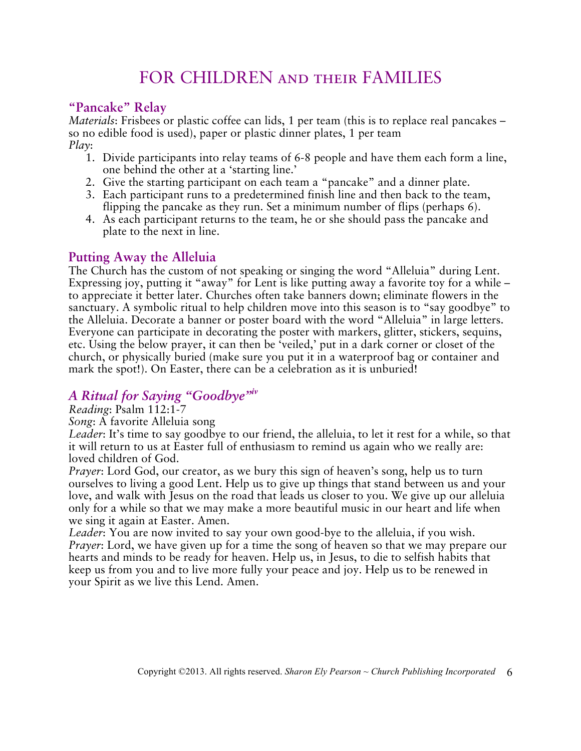# FOR CHILDREN and their FAMILIES

## **"Pancake" Relay**

*Materials*: Frisbees or plastic coffee can lids, 1 per team (this is to replace real pancakes – so no edible food is used), paper or plastic dinner plates, 1 per team *Play*:

- 1. Divide participants into relay teams of 6-8 people and have them each form a line, one behind the other at a 'starting line.'
- 2. Give the starting participant on each team a "pancake" and a dinner plate.
- 3. Each participant runs to a predetermined finish line and then back to the team, flipping the pancake as they run. Set a minimum number of flips (perhaps 6).
- 4. As each participant returns to the team, he or she should pass the pancake and plate to the next in line.

## **Putting Away the Alleluia**

The Church has the custom of not speaking or singing the word "Alleluia" during Lent. Expressing joy, putting it "away" for Lent is like putting away a favorite toy for a while – to appreciate it better later. Churches often take banners down; eliminate flowers in the sanctuary. A symbolic ritual to help children move into this season is to "say goodbye" to the Alleluia. Decorate a banner or poster board with the word "Alleluia" in large letters. Everyone can participate in decorating the poster with markers, glitter, stickers, sequins, etc. Using the below prayer, it can then be 'veiled,' put in a dark corner or closet of the church, or physically buried (make sure you put it in a waterproof bag or container and mark the spot!). On Easter, there can be a celebration as it is unburied!

## *A Ritual for Saying "Goodbye"iv*

*Reading*: Psalm 112:1-7

*Song*: A favorite Alleluia song

*Leader*: It's time to say goodbye to our friend, the alleluia, to let it rest for a while, so that it will return to us at Easter full of enthusiasm to remind us again who we really are: loved children of God.

*Prayer*: Lord God, our creator, as we bury this sign of heaven's song, help us to turn ourselves to living a good Lent. Help us to give up things that stand between us and your love, and walk with Jesus on the road that leads us closer to you. We give up our alleluia only for a while so that we may make a more beautiful music in our heart and life when we sing it again at Easter. Amen.

*Leader*: You are now invited to say your own good-bye to the alleluia, if you wish. *Prayer*: Lord, we have given up for a time the song of heaven so that we may prepare our hearts and minds to be ready for heaven. Help us, in Jesus, to die to selfish habits that keep us from you and to live more fully your peace and joy. Help us to be renewed in your Spirit as we live this Lend. Amen.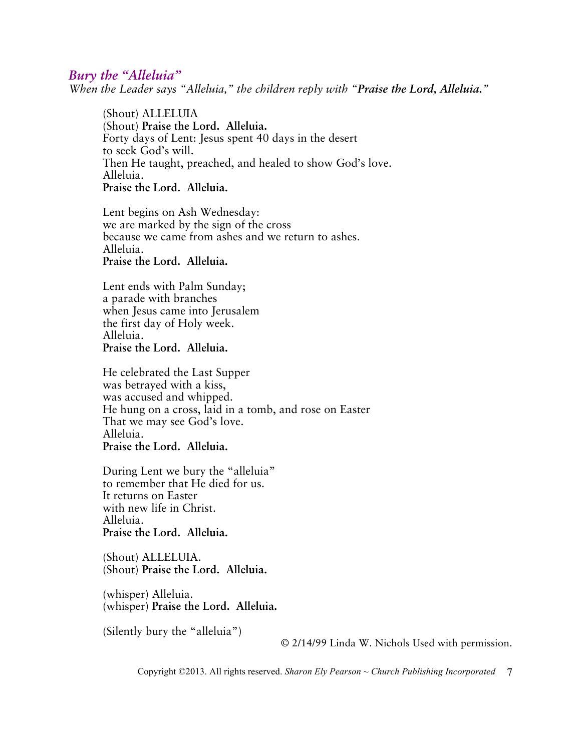#### *Bury the "Alleluia"*

*When the Leader says "Alleluia," the children reply with "Praise the Lord, Alleluia."*

(Shout) ALLELUIA (Shout) **Praise the Lord. Alleluia.** Forty days of Lent: Jesus spent 40 days in the desert to seek God's will. Then He taught, preached, and healed to show God's love. Alleluia. **Praise the Lord. Alleluia.**

Lent begins on Ash Wednesday: we are marked by the sign of the cross because we came from ashes and we return to ashes. Alleluia. **Praise the Lord. Alleluia.**

Lent ends with Palm Sunday; a parade with branches when Jesus came into Jerusalem the first day of Holy week. Alleluia. **Praise the Lord. Alleluia.**

He celebrated the Last Supper was betrayed with a kiss, was accused and whipped. He hung on a cross, laid in a tomb, and rose on Easter That we may see God's love. Alleluia. **Praise the Lord. Alleluia.**

During Lent we bury the "alleluia" to remember that He died for us. It returns on Easter with new life in Christ. Alleluia. **Praise the Lord. Alleluia.**

(Shout) ALLELUIA. (Shout) **Praise the Lord. Alleluia.**

(whisper) Alleluia. (whisper) **Praise the Lord. Alleluia.**

(Silently bury the "alleluia")

© 2/14/99 Linda W. Nichols Used with permission.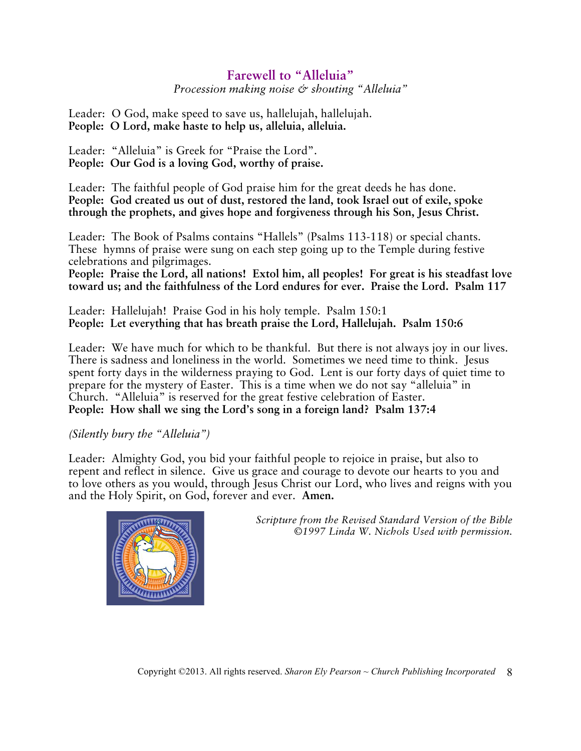## **Farewell to "Alleluia"**

*Procession making noise & shouting "Alleluia"*

Leader: O God, make speed to save us, hallelujah, hallelujah. **People: O Lord, make haste to help us, alleluia, alleluia.**

Leader: "Alleluia" is Greek for "Praise the Lord". **People: Our God is a loving God, worthy of praise.**

Leader: The faithful people of God praise him for the great deeds he has done. **People: God created us out of dust, restored the land, took Israel out of exile, spoke through the prophets, and gives hope and forgiveness through his Son, Jesus Christ.**

Leader: The Book of Psalms contains "Hallels" (Psalms 113-118) or special chants. These hymns of praise were sung on each step going up to the Temple during festive celebrations and pilgrimages.

**People: Praise the Lord, all nations! Extol him, all peoples! For great is his steadfast love toward us; and the faithfulness of the Lord endures for ever. Praise the Lord. Psalm 117**

Leader: Hallelujah! Praise God in his holy temple. Psalm 150:1 **People: Let everything that has breath praise the Lord, Hallelujah. Psalm 150:6**

Leader: We have much for which to be thankful. But there is not always joy in our lives. There is sadness and loneliness in the world. Sometimes we need time to think. Jesus spent forty days in the wilderness praying to God. Lent is our forty days of quiet time to prepare for the mystery of Easter. This is a time when we do not say "alleluia" in Church. "Alleluia" is reserved for the great festive celebration of Easter. **People: How shall we sing the Lord's song in a foreign land? Psalm 137:4**

#### *(Silently bury the "Alleluia")*

Leader: Almighty God, you bid your faithful people to rejoice in praise, but also to repent and reflect in silence. Give us grace and courage to devote our hearts to you and to love others as you would, through Jesus Christ our Lord, who lives and reigns with you and the Holy Spirit, on God, forever and ever. **Amen.**



*Scripture from the Revised Standard Version of the Bible ©1997 Linda W. Nichols Used with permission.*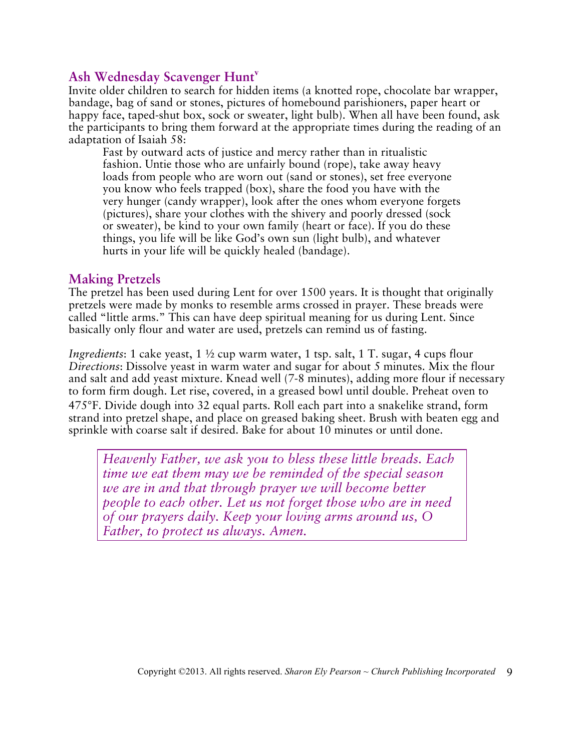## **Ash Wednesday Scavenger Hunt<sup>v</sup>**

Invite older children to search for hidden items (a knotted rope, chocolate bar wrapper, bandage, bag of sand or stones, pictures of homebound parishioners, paper heart or happy face, taped-shut box, sock or sweater, light bulb). When all have been found, ask the participants to bring them forward at the appropriate times during the reading of an adaptation of Isaiah 58:

Fast by outward acts of justice and mercy rather than in ritualistic fashion. Untie those who are unfairly bound (rope), take away heavy loads from people who are worn out (sand or stones), set free everyone you know who feels trapped (box), share the food you have with the very hunger (candy wrapper), look after the ones whom everyone forgets (pictures), share your clothes with the shivery and poorly dressed (sock or sweater), be kind to your own family (heart or face). If you do these things, you life will be like God's own sun (light bulb), and whatever hurts in your life will be quickly healed (bandage).

#### **Making Pretzels**

The pretzel has been used during Lent for over 1500 years. It is thought that originally pretzels were made by monks to resemble arms crossed in prayer. These breads were called "little arms." This can have deep spiritual meaning for us during Lent. Since basically only flour and water are used, pretzels can remind us of fasting.

*Ingredients*: 1 cake yeast, 1 ½ cup warm water, 1 tsp. salt, 1 T. sugar, 4 cups flour *Directions*: Dissolve yeast in warm water and sugar for about 5 minutes. Mix the flour and salt and add yeast mixture. Knead well (7-8 minutes), adding more flour if necessary to form firm dough. Let rise, covered, in a greased bowl until double. Preheat oven to 475°F. Divide dough into 32 equal parts. Roll each part into a snakelike strand, form strand into pretzel shape, and place on greased baking sheet. Brush with beaten egg and sprinkle with coarse salt if desired. Bake for about 10 minutes or until done.

*Heavenly Father, we ask you to bless these little breads. Each time we eat them may we be reminded of the special season we are in and that through prayer we will become better people to each other. Let us not forget those who are in need of our prayers daily. Keep your loving arms around us, O Father, to protect us always. Amen.*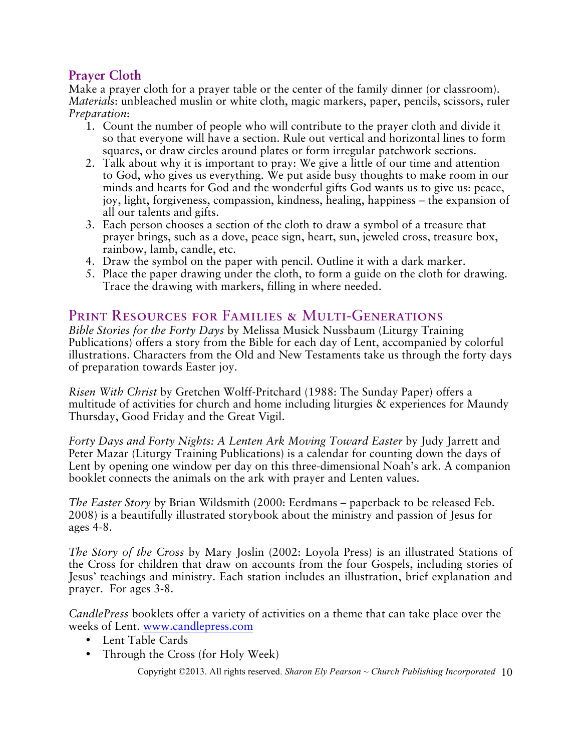## **Prayer Cloth**

Make a prayer cloth for a prayer table or the center of the family dinner (or classroom). *Materials*: unbleached muslin or white cloth, magic markers, paper, pencils, scissors, ruler *Preparation*:

- 1. Count the number of people who will contribute to the prayer cloth and divide it so that everyone will have a section. Rule out vertical and horizontal lines to form squares, or draw circles around plates or form irregular patchwork sections.
- 2. Talk about why it is important to pray: We give a little of our time and attention to God, who gives us everything. We put aside busy thoughts to make room in our minds and hearts for God and the wonderful gifts God wants us to give us: peace, joy, light, forgiveness, compassion, kindness, healing, happiness – the expansion of all our talents and gifts.
- 3. Each person chooses a section of the cloth to draw a symbol of a treasure that prayer brings, such as a dove, peace sign, heart, sun, jeweled cross, treasure box, rainbow, lamb, candle, etc.
- 4. Draw the symbol on the paper with pencil. Outline it with a dark marker.
- 5. Place the paper drawing under the cloth, to form a guide on the cloth for drawing. Trace the drawing with markers, filling in where needed.

## PRINT RESOURCES FOR FAMILIES & MULTI-GENERATIONS

*Bible Stories for the Forty Days* by Melissa Musick Nussbaum (Liturgy Training Publications) offers a story from the Bible for each day of Lent, accompanied by colorful illustrations. Characters from the Old and New Testaments take us through the forty days of preparation towards Easter joy.

*Risen With Christ* by Gretchen Wolff-Pritchard (1988: The Sunday Paper) offers a multitude of activities for church and home including liturgies & experiences for Maundy Thursday, Good Friday and the Great Vigil.

*Forty Days and Forty Nights: A Lenten Ark Moving Toward Easter* by Judy Jarrett and Peter Mazar (Liturgy Training Publications) is a calendar for counting down the days of Lent by opening one window per day on this three-dimensional Noah's ark. A companion booklet connects the animals on the ark with prayer and Lenten values.

*The Easter Story* by Brian Wildsmith (2000: Eerdmans – paperback to be released Feb. 2008) is a beautifully illustrated storybook about the ministry and passion of Jesus for ages 4-8.

*The Story of the Cross* by Mary Joslin (2002: Loyola Press) is an illustrated Stations of the Cross for children that draw on accounts from the four Gospels, including stories of Jesus' teachings and ministry. Each station includes an illustration, brief explanation and prayer. For ages 3-8.

*CandlePress* booklets offer a variety of activities on a theme that can take place over the weeks of Lent. www.candlepress.com

- Lent Table Cards
- Through the Cross (for Holy Week)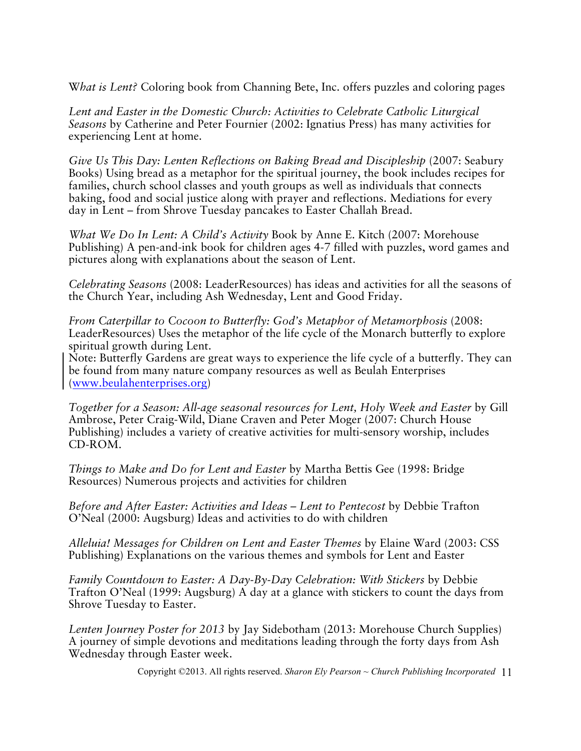W*hat is Lent?* Coloring book from Channing Bete, Inc. offers puzzles and coloring pages

*Lent and Easter in the Domestic Church: Activities to Celebrate Catholic Liturgical Seasons* by Catherine and Peter Fournier (2002: Ignatius Press) has many activities for experiencing Lent at home.

*Give Us This Day: Lenten Reflections on Baking Bread and Discipleship (2007: Seabury* Books) Using bread as a metaphor for the spiritual journey, the book includes recipes for families, church school classes and youth groups as well as individuals that connects baking, food and social justice along with prayer and reflections. Mediations for every day in Lent – from Shrove Tuesday pancakes to Easter Challah Bread.

*What We Do In Lent: A Child's Activity* Book by Anne E. Kitch (2007: Morehouse Publishing) A pen-and-ink book for children ages 4-7 filled with puzzles, word games and pictures along with explanations about the season of Lent.

*Celebrating Seasons* (2008: LeaderResources) has ideas and activities for all the seasons of the Church Year, including Ash Wednesday, Lent and Good Friday.

*From Caterpillar to Cocoon to Butterfly: God's Metaphor of Metamorphosis* (2008: LeaderResources) Uses the metaphor of the life cycle of the Monarch butterfly to explore spiritual growth during Lent.

Note: Butterfly Gardens are great ways to experience the life cycle of a butterfly. They can be found from many nature company resources as well as Beulah Enterprises (www.beulahenterprises.org)

*Together for a Season: All-age seasonal resources for Lent, Holy Week and Easter* by Gill Ambrose, Peter Craig-Wild, Diane Craven and Peter Moger (2007: Church House Publishing) includes a variety of creative activities for multi-sensory worship, includes CD-ROM.

*Things to Make and Do for Lent and Easter* by Martha Bettis Gee (1998: Bridge Resources) Numerous projects and activities for children

*Before and After Easter: Activities and Ideas – Lent to Pentecost* by Debbie Trafton O'Neal (2000: Augsburg) Ideas and activities to do with children

*Alleluia! Messages for Children on Lent and Easter Themes* by Elaine Ward (2003: CSS Publishing) Explanations on the various themes and symbols for Lent and Easter

*Family Countdown to Easter: A Day-By-Day Celebration: With Stickers* by Debbie Trafton O'Neal (1999: Augsburg) A day at a glance with stickers to count the days from Shrove Tuesday to Easter.

*Lenten Journey Poster for 2013* by Jay Sidebotham (2013: Morehouse Church Supplies) A journey of simple devotions and meditations leading through the forty days from Ash Wednesday through Easter week.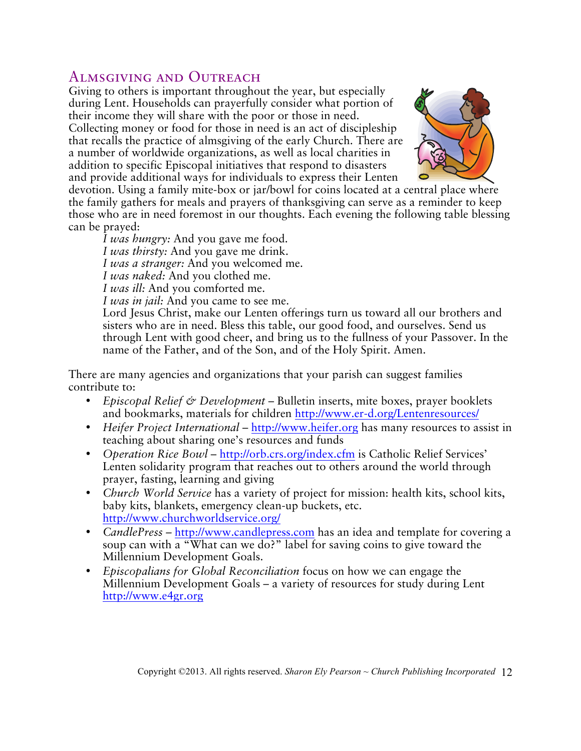## Almsgiving and Outreach

Giving to others is important throughout the year, but especially during Lent. Households can prayerfully consider what portion of their income they will share with the poor or those in need. Collecting money or food for those in need is an act of discipleship that recalls the practice of almsgiving of the early Church. There are a number of worldwide organizations, as well as local charities in addition to specific Episcopal initiatives that respond to disasters and provide additional ways for individuals to express their Lenten



devotion. Using a family mite-box or jar/bowl for coins located at a central place where the family gathers for meals and prayers of thanksgiving can serve as a reminder to keep those who are in need foremost in our thoughts. Each evening the following table blessing can be prayed:

*I was hungry:* And you gave me food. *I was thirsty:* And you gave me drink. *I was a stranger:* And you welcomed me. *I was naked:* And you clothed me.

*I was ill:* And you comforted me.

*I was in jail:* And you came to see me.

Lord Jesus Christ, make our Lenten offerings turn us toward all our brothers and sisters who are in need. Bless this table, our good food, and ourselves. Send us through Lent with good cheer, and bring us to the fullness of your Passover. In the name of the Father, and of the Son, and of the Holy Spirit. Amen.

There are many agencies and organizations that your parish can suggest families contribute to:

- *Episcopal Relief & Development* Bulletin inserts, mite boxes, prayer booklets and bookmarks, materials for children http://www.er-d.org/Lentenresources/
- *Heifer Project International* http://www.heifer.org has many resources to assist in teaching about sharing one's resources and funds
- *Operation Rice Bowl* http://orb.crs.org/index.cfm is Catholic Relief Services' Lenten solidarity program that reaches out to others around the world through prayer, fasting, learning and giving
- *Church World Service* has a variety of project for mission: health kits, school kits, baby kits, blankets, emergency clean-up buckets, etc. http://www.churchworldservice.org/
- *CandlePress –* http://www.candlepress.com has an idea and template for covering a soup can with a "What can we do?" label for saving coins to give toward the Millennium Development Goals.
- *Episcopalians for Global Reconciliation* focus on how we can engage the Millennium Development Goals – a variety of resources for study during Lent http://www.e4gr.org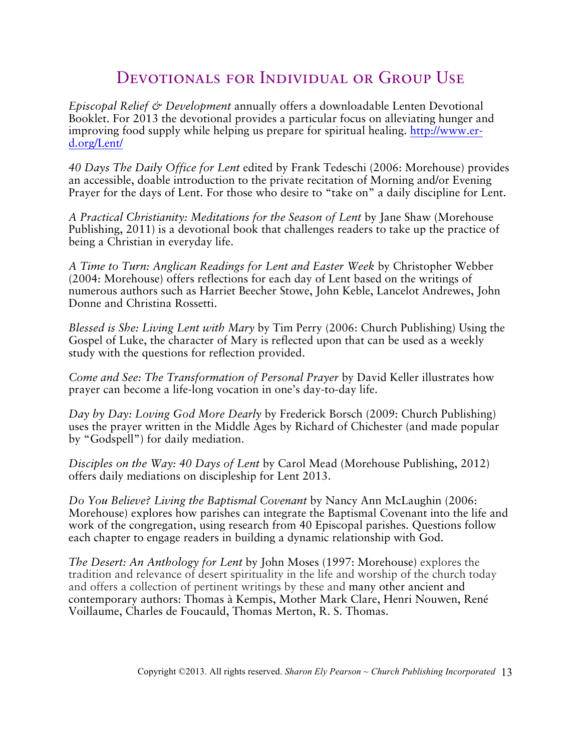## DEVOTIONALS FOR INDIVIDUAL OR GROUP USE

*Episcopal Relief & Development* annually offers a downloadable Lenten Devotional Booklet. For 2013 the devotional provides a particular focus on alleviating hunger and improving food supply while helping us prepare for spiritual healing. http://www.erd.org/Lent/

*40 Days The Daily Office for Lent* edited by Frank Tedeschi (2006: Morehouse) provides an accessible, doable introduction to the private recitation of Morning and/or Evening Prayer for the days of Lent. For those who desire to "take on" a daily discipline for Lent.

*A Practical Christianity: Meditations for the Season of Lent* by Jane Shaw (Morehouse Publishing, 2011) is a devotional book that challenges readers to take up the practice of being a Christian in everyday life.

*A Time to Turn: Anglican Readings for Lent and Easter Week* by Christopher Webber (2004: Morehouse) offers reflections for each day of Lent based on the writings of numerous authors such as Harriet Beecher Stowe, John Keble, Lancelot Andrewes, John Donne and Christina Rossetti.

*Blessed is She: Living Lent with Mary* by Tim Perry (2006: Church Publishing) Using the Gospel of Luke, the character of Mary is reflected upon that can be used as a weekly study with the questions for reflection provided.

*Come and See: The Transformation of Personal Prayer* by David Keller illustrates how prayer can become a life-long vocation in one's day-to-day life.

*Day by Day: Loving God More Dearly* by Frederick Borsch (2009: Church Publishing) uses the prayer written in the Middle Ages by Richard of Chichester (and made popular by "Godspell") for daily mediation.

*Disciples on the Way: 40 Days of Lent* by Carol Mead (Morehouse Publishing, 2012) offers daily mediations on discipleship for Lent 2013.

*Do You Believe? Living the Baptismal Covenant* by Nancy Ann McLaughin (2006: Morehouse) explores how parishes can integrate the Baptismal Covenant into the life and work of the congregation, using research from 40 Episcopal parishes. Questions follow each chapter to engage readers in building a dynamic relationship with God.

*The Desert: An Anthology for Lent* by John Moses (1997: Morehouse) explores the tradition and relevance of desert spirituality in the life and worship of the church today and offers a collection of pertinent writings by these and many other ancient and contemporary authors: Thomas à Kempis, Mother Mark Clare, Henri Nouwen, René Voillaume, Charles de Foucauld, Thomas Merton, R. S. Thomas.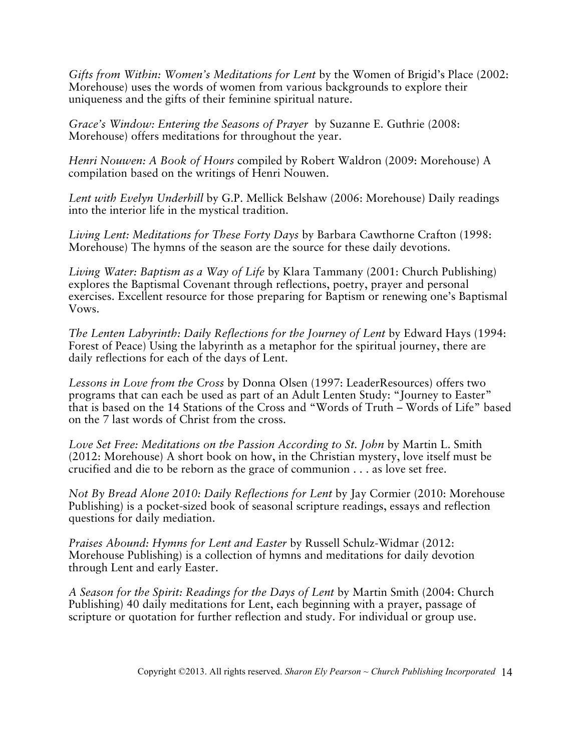*Gifts from Within: Women's Meditations for Lent* by the Women of Brigid's Place (2002: Morehouse) uses the words of women from various backgrounds to explore their uniqueness and the gifts of their feminine spiritual nature.

*Grace's Window: Entering the Seasons of Prayer* by Suzanne E. Guthrie (2008: Morehouse) offers meditations for throughout the year.

*Henri Nouwen: A Book of Hours* compiled by Robert Waldron (2009: Morehouse) A compilation based on the writings of Henri Nouwen.

*Lent with Evelyn Underhill* by G.P. Mellick Belshaw (2006: Morehouse) Daily readings into the interior life in the mystical tradition.

*Living Lent: Meditations for These Forty Days* by Barbara Cawthorne Crafton (1998: Morehouse) The hymns of the season are the source for these daily devotions.

*Living Water: Baptism as a Way of Life* by Klara Tammany (2001: Church Publishing) explores the Baptismal Covenant through reflections, poetry, prayer and personal exercises. Excellent resource for those preparing for Baptism or renewing one's Baptismal Vows.

*The Lenten Labyrinth: Daily Reflections for the Journey of Lent* by Edward Hays (1994: Forest of Peace) Using the labyrinth as a metaphor for the spiritual journey, there are daily reflections for each of the days of Lent.

*Lessons in Love from the Cross* by Donna Olsen (1997: LeaderResources) offers two programs that can each be used as part of an Adult Lenten Study: "Journey to Easter" that is based on the 14 Stations of the Cross and "Words of Truth – Words of Life" based on the 7 last words of Christ from the cross.

*Love Set Free: Meditations on the Passion According to St. John* by Martin L. Smith (2012: Morehouse) A short book on how, in the Christian mystery, love itself must be crucified and die to be reborn as the grace of communion . . . as love set free.

*Not By Bread Alone 2010: Daily Reflections for Lent* by Jay Cormier (2010: Morehouse Publishing) is a pocket-sized book of seasonal scripture readings, essays and reflection questions for daily mediation.

*Praises Abound: Hymns for Lent and Easter* by Russell Schulz-Widmar (2012: Morehouse Publishing) is a collection of hymns and meditations for daily devotion through Lent and early Easter.

*A Season for the Spirit: Readings for the Days of Lent* by Martin Smith (2004: Church Publishing) 40 daily meditations for Lent, each beginning with a prayer, passage of scripture or quotation for further reflection and study. For individual or group use.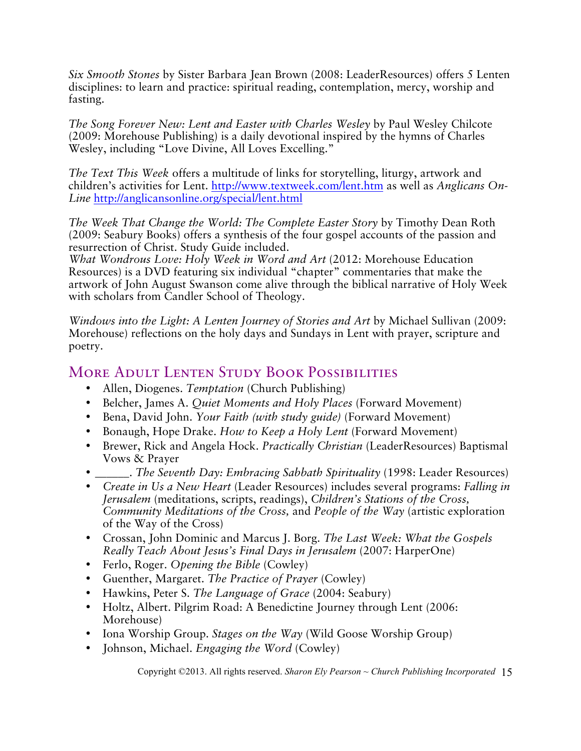*Six Smooth Stones* by Sister Barbara Jean Brown (2008: LeaderResources) offers 5 Lenten disciplines: to learn and practice: spiritual reading, contemplation, mercy, worship and fasting.

*The Song Forever New: Lent and Easter with Charles Wesley* by Paul Wesley Chilcote (2009: Morehouse Publishing) is a daily devotional inspired by the hymns of Charles Wesley, including "Love Divine, All Loves Excelling."

*The Text This Week* offers a multitude of links for storytelling, liturgy, artwork and children's activities for Lent. http://www.textweek.com/lent.htm as well as *Anglicans On-Line* http://anglicansonline.org/special/lent.html

*The Week That Change the World: The Complete Easter Story* by Timothy Dean Roth (2009: Seabury Books) offers a synthesis of the four gospel accounts of the passion and resurrection of Christ. Study Guide included.

*What Wondrous Love: Holy Week in Word and Art* (2012: Morehouse Education Resources) is a DVD featuring six individual "chapter" commentaries that make the artwork of John August Swanson come alive through the biblical narrative of Holy Week with scholars from Candler School of Theology.

*Windows into the Light: A Lenten Journey of Stories and Art* by Michael Sullivan (2009: Morehouse) reflections on the holy days and Sundays in Lent with prayer, scripture and poetry.

## MORE ADULT LENTEN STUDY BOOK POSSIBILITIES

- Allen, Diogenes. *Temptation* (Church Publishing)
- Belcher, James A. *Quiet Moments and Holy Places* (Forward Movement)
- Bena, David John. *Your Faith (with study guide)* (Forward Movement)
- Bonaugh, Hope Drake. *How to Keep a Holy Lent* (Forward Movement)
- Brewer, Rick and Angela Hock. *Practically Christian* (LeaderResources) Baptismal Vows & Prayer
- \_\_\_\_\_\_. *The Seventh Day: Embracing Sabbath Spirituality* (1998: Leader Resources)
- *Create in Us a New Heart* (Leader Resources) includes several programs: *Falling in Jerusalem* (meditations, scripts, readings), *Children's Stations of the Cross, Community Meditations of the Cross,* and *People of the Way* (artistic exploration of the Way of the Cross)
- Crossan, John Dominic and Marcus J. Borg. *The Last Week: What the Gospels Really Teach About Jesus's Final Days in Jerusalem* (2007: HarperOne)
- Ferlo, Roger. *Opening the Bible* (Cowley)
- Guenther, Margaret. *The Practice of Prayer* (Cowley)
- Hawkins, Peter S. *The Language of Grace* (2004: Seabury)
- Holtz, Albert. Pilgrim Road: A Benedictine Journey through Lent (2006: Morehouse)
- Iona Worship Group. *Stages on the Way* (Wild Goose Worship Group)
- Johnson, Michael. *Engaging the Word* (Cowley)